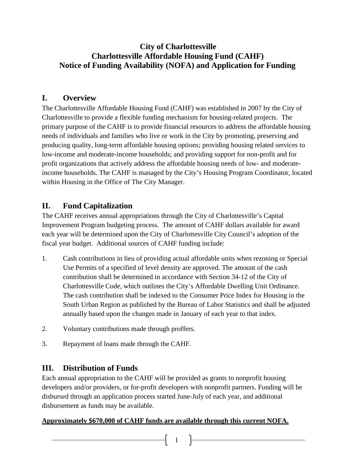## **City of Charlottesville Charlottesville Affordable Housing Fund (CAHF) Notice of Funding Availability (NOFA) and Application for Funding**

## **I. Overview**

The Charlottesville Affordable Housing Fund (CAHF) was established in 2007 by the City of Charlottesville to provide a flexible funding mechanism for housing-related projects. The primary purpose of the CAHF is to provide financial resources to address the affordable housing needs of individuals and families who live or work in the City by promoting, preserving and producing quality, long-term affordable housing options; providing housing related services to low-income and moderate-income households; and providing support for non-profit and for profit organizations that actively address the affordable housing needs of low- and moderateincome households. The CAHF is managed by the City's Housing Program Coordinator, located within Housing in the Office of The City Manager.

## **II. Fund Capitalization**

The CAHF receives annual appropriations through the City of Charlottesville's Capital Improvement Program budgeting process. The amount of CAHF dollars available for award each year will be determined upon the City of Charlottesville City Council's adoption of the fiscal year budget. Additional sources of CAHF funding include:

- 1. Cash contributions in lieu of providing actual affordable units when rezoning or Special Use Permits of a specified of level density are approved. The amount of the cash contribution shall be determined in accordance with Section 34-12 of the City of Charlottesville Code, which outlines the City's Affordable Dwelling Unit Ordinance. The cash contribution shall be indexed to the Consumer Price Index for Housing in the South Urban Region as published by the Bureau of Labor Statistics and shall be adjusted annually based upon the changes made in January of each year to that index.
- 2. Voluntary contributions made through proffers.
- 3. Repayment of loans made through the CAHF.

## **III. Distribution of Funds**

Each annual appropriation to the CAHF will be provided as grants to nonprofit housing developers and/or providers, or for-profit developers with nonprofit partners. Funding will be disbursed through an application process started June-July of each year, and additional disbursement as funds may be available.

1

## **Approximately \$670,000 of CAHF funds are available through this current NOFA.**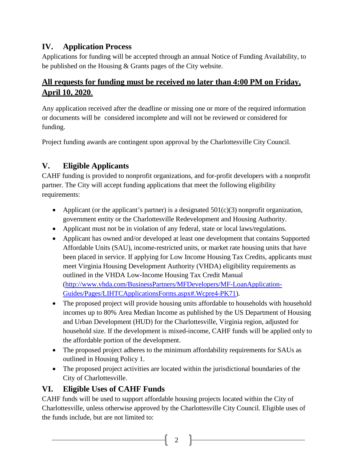## **IV. Application Process**

Applications for funding will be accepted through an annual Notice of Funding Availability, to be published on the Housing & Grants pages of the City website.

## **All requests for funding must be received no later than 4:00 PM on Friday, April 10, 2020**.

Any application received after the deadline or missing one or more of the required information or documents will be considered incomplete and will not be reviewed or considered for funding.

Project funding awards are contingent upon approval by the Charlottesville City Council.

# **V. Eligible Applicants**

CAHF funding is provided to nonprofit organizations, and for-profit developers with a nonprofit partner. The City will accept funding applications that meet the following eligibility requirements:

- Applicant (or the applicant's partner) is a designated  $501(c)(3)$  nonprofit organization, government entity or the Charlottesville Redevelopment and Housing Authority.
- Applicant must not be in violation of any federal, state or local laws/regulations.
- Applicant has owned and/or developed at least one development that contains Supported Affordable Units (SAU), income-restricted units, or market rate housing units that have been placed in service. If applying for Low Income Housing Tax Credits, applicants must meet Virginia Housing Development Authority (VHDA) eligibility requirements as outlined in the VHDA Low-Income Housing Tax Credit Manual [\(http://www.vhda.com/BusinessPartners/MFDevelopers/MF-LoanApplication-](http://www.vhda.com/BusinessPartners/MFDevelopers/MF-LoanApplication-Guides/Pages/LIHTCApplicationsForms.aspx%23.Wcpre4-PK71)[Guides/Pages/LIHTCApplicationsForms.aspx#.Wcpre4-PK71\)](http://www.vhda.com/BusinessPartners/MFDevelopers/MF-LoanApplication-Guides/Pages/LIHTCApplicationsForms.aspx%23.Wcpre4-PK71).
- The proposed project will provide housing units affordable to households with household incomes up to 80% Area Median Income as published by the US Department of Housing and Urban Development (HUD) for the Charlottesville, Virginia region, adjusted for household size. If the development is mixed-income, CAHF funds will be applied only to the affordable portion of the development.
- The proposed project adheres to the minimum affordability requirements for SAUs as outlined in Housing Policy 1.
- The proposed project activities are located within the jurisdictional boundaries of the City of Charlottesville.

## **VI. Eligible Uses of CAHF Funds**

CAHF funds will be used to support affordable housing projects located within the City of Charlottesville, unless otherwise approved by the Charlottesville City Council. Eligible uses of the funds include, but are not limited to: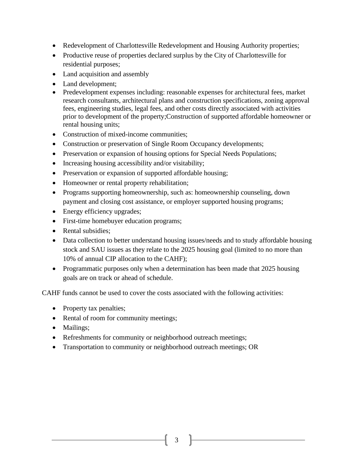- Redevelopment of Charlottesville Redevelopment and Housing Authority properties;
- Productive reuse of properties declared surplus by the City of Charlottesville for residential purposes;
- Land acquisition and assembly
- Land development;
- Predevelopment expenses including: reasonable expenses for architectural fees, market research consultants, architectural plans and construction specifications, zoning approval fees, engineering studies, legal fees, and other costs directly associated with activities prior to development of the property;Construction of supported affordable homeowner or rental housing units;
- Construction of mixed-income communities;
- Construction or preservation of Single Room Occupancy developments;
- Preservation or expansion of housing options for Special Needs Populations;
- Increasing housing accessibility and/or visitability;
- Preservation or expansion of supported affordable housing;
- Homeowner or rental property rehabilitation;
- Programs supporting homeownership, such as: homeownership counseling, down payment and closing cost assistance, or employer supported housing programs;
- Energy efficiency upgrades;
- First-time homebuyer education programs;
- Rental subsidies:
- Data collection to better understand housing issues/needs and to study affordable housing stock and SAU issues as they relate to the 2025 housing goal (limited to no more than 10% of annual CIP allocation to the CAHF);
- Programmatic purposes only when a determination has been made that 2025 housing goals are on track or ahead of schedule.

CAHF funds cannot be used to cover the costs associated with the following activities:

- Property tax penalties;
- Rental of room for community meetings;
- Mailings;
- Refreshments for community or neighborhood outreach meetings;
- Transportation to community or neighborhood outreach meetings; OR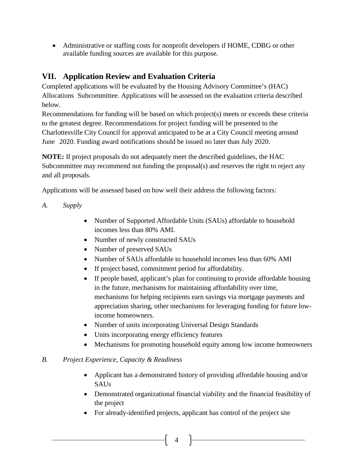• Administrative or staffing costs for nonprofit developers if HOME, CDBG or other available funding sources are available for this purpose.

## **VII. Application Review and Evaluation Criteria**

Completed applications will be evaluated by the Housing Advisory Committee's (HAC) Allocations Subcommittee. Applications will be assessed on the evaluation criteria described below.

Recommendations for funding will be based on which project(s) meets or exceeds these criteria to the greatest degree. Recommendations for project funding will be presented to the Charlottesville City Council for approval anticipated to be at a City Council meeting around June 2020. Funding award notifications should be issued no later than July 2020.

**NOTE:** If project proposals do not adequately meet the described guidelines, the HAC Subcommittee may recommend not funding the proposal(s) and reserves the right to reject any and all proposals.

Applications will be assessed based on how well their address the following factors:

- *A. Supply*
	- Number of Supported Affordable Units (SAUs) affordable to household incomes less than 80% AMI.
	- Number of newly constructed SAUs
	- Number of preserved SAUs
	- Number of SAUs affordable to household incomes less than 60% AMI
	- If project based, commitment period for affordability.
	- If people based, applicant's plan for continuing to provide affordable housing in the future, mechanisms for maintaining affordability over time, mechanisms for helping recipients earn savings via mortgage payments and appreciation sharing, other mechanisms for leveraging funding for future lowincome homeowners.
	- Number of units incorporating Universal Design Standards
	- Units incorporating energy efficiency features
	- Mechanisms for promoting household equity among low income homeowners

### *B. Project Experience, Capacity & Readiness*

- Applicant has a demonstrated history of providing affordable housing and/or SAUs
- Demonstrated organizational financial viability and the financial feasibility of the project
- For already-identified projects, applicant has control of the project site

4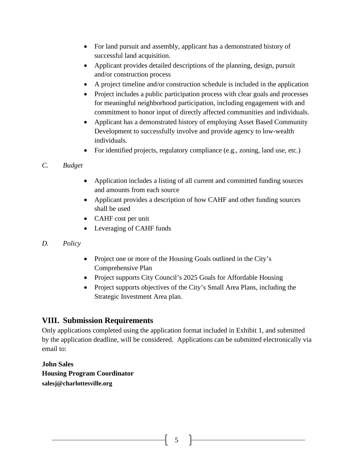- For land pursuit and assembly, applicant has a demonstrated history of successful land acquisition.
- Applicant provides detailed descriptions of the planning, design, pursuit and/or construction process
- A project timeline and/or construction schedule is included in the application
- Project includes a public participation process with clear goals and processes for meaningful neighborhood participation, including engagement with and commitment to honor input of directly affected communities and individuals.
- Applicant has a demonstrated history of employing Asset Based Community Development to successfully involve and provide agency to low-wealth individuals.
- For identified projects, regulatory compliance (e.g., zoning, land use, etc.)
- *C. Budget*
	- Application includes a listing of all current and committed funding sources and amounts from each source
	- Applicant provides a description of how CAHF and other funding sources shall be used
	- CAHF cost per unit
	- Leveraging of CAHF funds
- *D. Policy*
- Project one or more of the Housing Goals outlined in the City's Comprehensive Plan
- Project supports City Council's 2025 Goals for Affordable Housing
- Project supports objectives of the City's Small Area Plans, including the Strategic Investment Area plan.

## **VIII. Submission Requirements**

Only applications completed using the application format included in Exhibit 1, and submitted by the application deadline, will be considered. Applications can be submitted electronically via email to:

**John Sales Housing Program Coordinator salesj@charlottesville.org**

5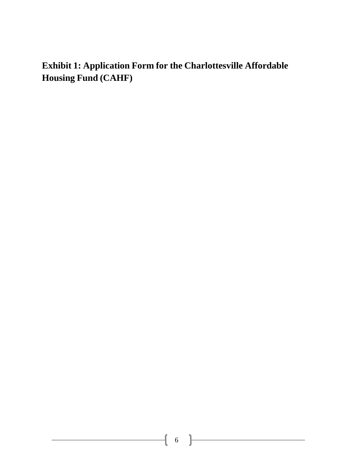**Exhibit 1: Application Form for the Charlottesville Affordable Housing Fund (CAHF)**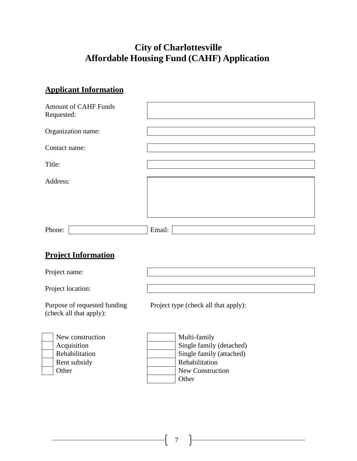# **City of Charlottesville Affordable Housing Fund (CAHF) Application**

# **Applicant Information**

| <b>Amount of CAHF Funds</b><br>Requested: |        |
|-------------------------------------------|--------|
| Organization name:                        |        |
| Contact name:                             |        |
| Title:                                    |        |
| Address:                                  |        |
|                                           |        |
|                                           |        |
| Phone:                                    | Email: |

## **Project Information**

| Project name:                                           |                                      |  |  |
|---------------------------------------------------------|--------------------------------------|--|--|
| Project location:                                       |                                      |  |  |
| Purpose of requested funding<br>(check all that apply): | Project type (check all that apply): |  |  |
| New construction                                        | Multi-family                         |  |  |
| Acquisition                                             | Single family (detached)             |  |  |
| Rehabilitation                                          | Single family (attached)             |  |  |
| Rent subsidy                                            | Rehabilitation                       |  |  |
| Other                                                   | <b>New Construction</b>              |  |  |

Other

 $\begin{array}{ccc} 1 & 7 \end{array}$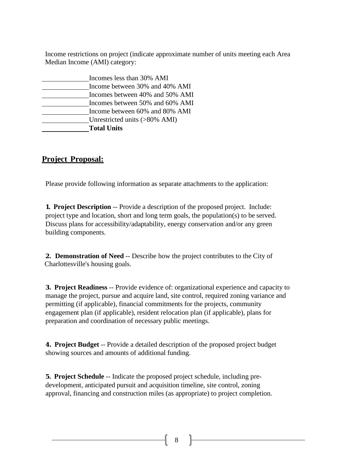Income restrictions on project (indicate approximate number of units meeting each Area Median Income (AMI) category:

| Incomes less than 30% AMI       |  |
|---------------------------------|--|
| Income between 30% and 40% AMI  |  |
| Incomes between 40% and 50% AMI |  |
| Incomes between 50% and 60% AMI |  |
| Income between 60% and 80% AMI  |  |
| Unrestricted units (>80% AMI)   |  |
| <b>Total Units</b>              |  |

## **Project Proposal:**

Please provide following information as separate attachments to the application:

**1. Project Description** -- Provide a description of the proposed project. Include: project type and location, short and long term goals, the population(s) to be served. Discuss plans for accessibility/adaptability, energy conservation and/or any green building components.

**2. Demonstration of Need** -- Describe how the project contributes to the City of Charlottesville's housing goals.

**3. Project Readiness** -- Provide evidence of: organizational experience and capacity to manage the project, pursue and acquire land, site control, required zoning variance and permitting (if applicable), financial commitments for the projects, community engagement plan (if applicable), resident relocation plan (if applicable), plans for preparation and coordination of necessary public meetings.

**4. Project Budget** -- Provide a detailed description of the proposed project budget showing sources and amounts of additional funding.

**5. Project Schedule** -- Indicate the proposed project schedule, including predevelopment, anticipated pursuit and acquisition timeline, site control, zoning approval, financing and construction miles (as appropriate) to project completion.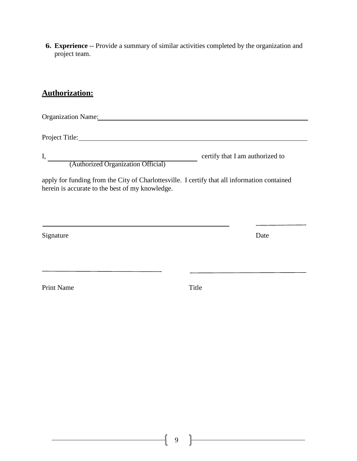**6. Experience** -- Provide a summary of similar activities completed by the organization and project team.

### **Authorization:**

Organization Name:

Project Title:

(Authorized Organization Official)

I, certify that I am authorized to

apply for funding from the City of Charlottesville. I certify that all information contained herein is accurate to the best of my knowledge.

<u> 1989 - Johann Stein, marwolaethau a bhann an t-Amhair an t-Amhair an t-Amhair an t-Amhair an t-Amhair an t-A</u>

Signature Date

Print Name Title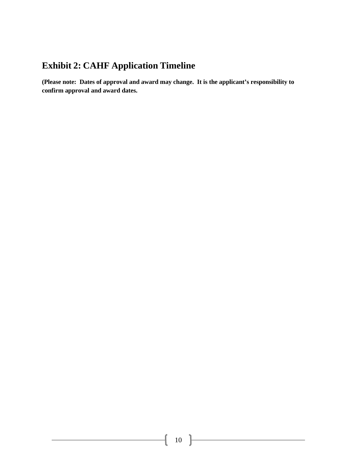# **Exhibit 2: CAHF Application Timeline**

**(Please note: Dates of approval and award may change. It is the applicant's responsibility to confirm approval and award dates.**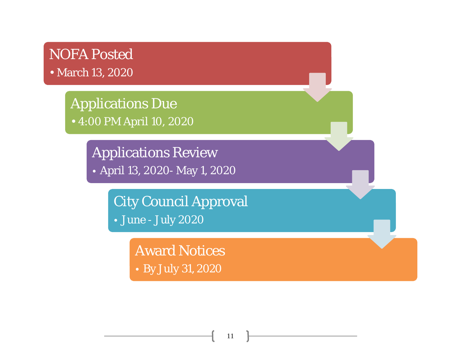# NOFA Posted • March 13, 2020

Applications Due • 4:00 PM April 10, 2020

Applications Review

April 13, 2020- May 1, 2020

City Council Approval June - July 2020

> Award Notices By July 31, 2020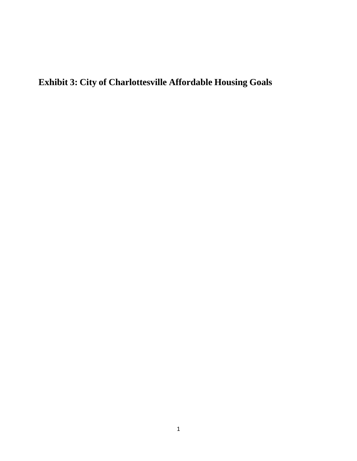# **Exhibit 3: City of Charlottesville Affordable Housing Goals**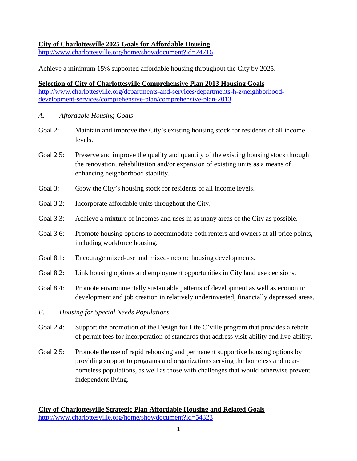### **City of Charlottesville 2025 Goals for Affordable Housing**

<http://www.charlottesville.org/home/showdocument?id=24716>

Achieve a minimum 15% supported affordable housing throughout the City by 2025.

### **Selection of City of Charlottesville Comprehensive Plan 2013 Housing Goals** [http://www.charlottesville.org/departments-and-services/departments-h-z/neighborhood](http://www.charlottesville.org/departments-and-services/departments-h-z/neighborhood-development-services/comprehensive-plan/comprehensive-plan-2013)[development-services/comprehensive-plan/comprehensive-plan-2013](http://www.charlottesville.org/departments-and-services/departments-h-z/neighborhood-development-services/comprehensive-plan/comprehensive-plan-2013)

- *A. Affordable Housing Goals*
- Goal 2: Maintain and improve the City's existing housing stock for residents of all income levels.
- Goal 2.5: Preserve and improve the quality and quantity of the existing housing stock through the renovation, rehabilitation and/or expansion of existing units as a means of enhancing neighborhood stability.
- Goal 3: Grow the City's housing stock for residents of all income levels.
- Goal 3.2: Incorporate affordable units throughout the City.
- Goal 3.3: Achieve a mixture of incomes and uses in as many areas of the City as possible.
- Goal 3.6: Promote housing options to accommodate both renters and owners at all price points, including workforce housing.
- Goal 8.1: Encourage mixed-use and mixed-income housing developments.
- Goal 8.2: Link housing options and employment opportunities in City land use decisions.
- Goal 8.4: Promote environmentally sustainable patterns of development as well as economic development and job creation in relatively underinvested, financially depressed areas.
- *B. Housing for Special Needs Populations*
- Goal 2.4: Support the promotion of the Design for Life C'ville program that provides a rebate of permit fees for incorporation of standards that address visit-ability and live-ability.
- Goal 2.5: Promote the use of rapid rehousing and permanent supportive housing options by providing support to programs and organizations serving the homeless and nearhomeless populations, as well as those with challenges that would otherwise prevent independent living.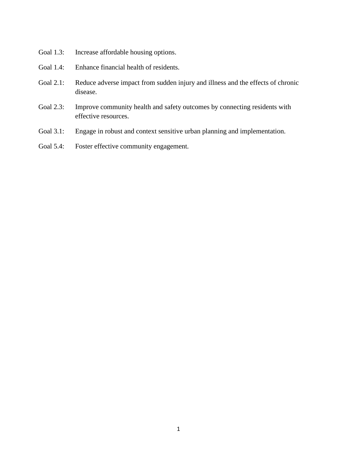- Goal 1.3: Increase affordable housing options.
- Goal 1.4: Enhance financial health of residents.
- Goal 2.1: Reduce adverse impact from sudden injury and illness and the effects of chronic disease.
- Goal 2.3: Improve community health and safety outcomes by connecting residents with effective resources.
- Goal 3.1: Engage in robust and context sensitive urban planning and implementation.
- Goal 5.4: Foster effective community engagement.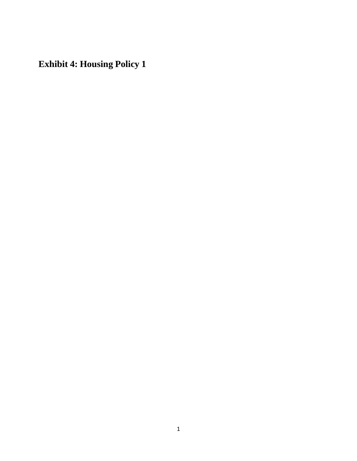**Exhibit 4: Housing Policy 1**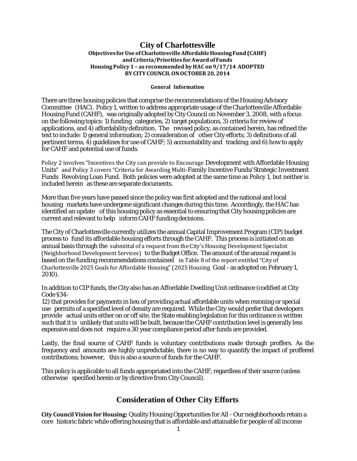### **City of Charlottesville Objectives forUse ofCharlottesvilleAffordableHousingFund (CAHF) andCriteria/Priorities forAward ofFunds Housing Policy 1 – as recommended by HAC on9/17/14 ADOPTED BYCITY COUNCILONOCTOBER20, 2014**

#### **General Information**

There are three housing policies that comprise the recommendations of the Housing Advisory Committee (HAC). Policy 1, written to address appropriate usage of the Charlottesville Affordable Housing Fund (CAHF), was originally adopted by City Council on November 3, 2008, with a focus on the following topics: 1) funding categories, 2) target populations, 3) criteria for review of applications, and 4) affordability definition. The revised policy, as contained herein, has refined the text to include: 1) general information; 2) consideration of other City efforts; 3) definitions of all pertinent terms, 4) guidelines for use of CAHF; 5) accountability and tracking; and 6) how to apply for CAHF and potential use of funds.

Policy 2 involves "Incentives the City can provide to Encourage Development with Affordable Housing Units" and Policy 3 covers "Criteria for Awarding Multi-Family Incentive Funds/Strategic Investment Funds Revolving Loan Fund. Both policies were adopted at the same time as Policy 1, but neither is included herein as these are separate documents.

More than five years have passed since the policy was first adopted and the national and local housing markets have undergone significant changes during this time. Accordingly, the HAC has identified an update of this housing policy as essential to ensuring that City housing policies are current and relevant to help inform CAHF funding decisions.

The City of Charlottesville currently utilizes the annual CapitalImprovement Program (CIP) budget process to fund its affordable housing efforts through the CAHF. This process is initiated on an annual basis through the submittal of a request from the City's Housing Development Specialist (Neighborhood Development Services) to the Budget Office. The amount of the annual request is based on the funding recommendations contained in Table 8 of the report entitled "City of Charlottesville 2025 Goals for Affordable Housing"(2025 Housing Goal - as adopted on February 1, 2010).

In addition to CIP funds, the City also has an Affordable Dwelling Unit ordinance (codified at City Code §34-

12) that provides for payments in lieu of providing actual affordable units when rezoning or special use permits of a specified level of density are required. While the City would prefer that developers provide actual units either on or off site, the State enabling legislation for this ordinance is written such that it is unlikely that units will be built, because the CAHF contribution level is generally less expensive and does not require a 30 year compliance period after funds are provided.

Lastly, the final source of CAHF funds is voluntary contributions made through proffers. As the frequency and amounts are highly unpredictable, there is no way to quantify the impact of proffered contributions; however, this is also a source of funds for the CAHF.

This policy is applicable to all funds appropriated into the CAHF, regardless of their source (unless otherwise specified herein or by directive from City Council).

### **Consideration of Other City Efforts**

**City CouncilVision for Housing:** Quality Housing Opportunities for All - Our neighborhoods retain a core historic fabric while offering housing that is affordable and attainable for people of all income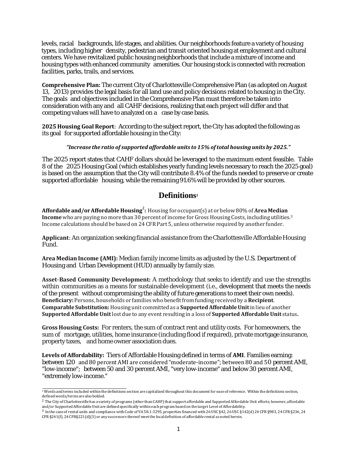levels, racial backgrounds, life stages, and abilities. Our neighborhoods feature a variety of housing types, including higher density, pedestrian and transit oriented housing at employment and cultural centers. We have revitalized public housing neighborhoods that include a mixture of income and housing types with enhanced community amenities. Our housing stock is connected with recreation facilities, parks, trails, and services.

**Comprehensive Plan:** The current City of Charlottesville Comprehensive Plan (as adopted on August 13, 2013) provides the legal basis for all land use and policy decisions related to housing in the City. The goals and objectives included in the Comprehensive Plan must therefore be taken into consideration with any and all CAHF decisions, realizing that each project will differ and that competing values will have to analyzed on a case by case basis.

**2025 Housing Goal Report**: According to the subject report, the City has adopted the following as its goal for supported affordable housing in the City:

#### *"Increase the ratio of supported affordable units to 15%oftotal housing units by 2025."*

The 2025 report states that CAHF dollars should be leveraged to the maximum extent feasible. Table 8 of the 2025 Housing Goal (which establishes yearly funding levels necessary to reach the 2025 goal) is based on the assumption that the City will contribute 8.4% of the funds needed to preserve or create supported affordable housing, while the remaining 91.6% will be provided by other sources.

### **Definitions1**

**Affordable and/orAffordable Housing**<sup>2</sup> **:** Housing for occupant(s) at or below80% of**Area Median Income** who are paying no more than 30 percent of income for Gross Housing Costs, including utilities.3 Income calculations should be based on 24 CFR Part 5, unless otherwise required by another funder.

**Applicant**: An organization seeking financial assistance from the Charlottesville Affordable Housing Fund.

**Area MedianIncome (AMI):** Median family income limits as adjusted by the U.S. Department of Housing and Urban Development (HUD) annually by family size.

**Asset**-**Based Community Development:** A methodology that seeks to identify and use the strengths within communities as a means for sustainable development (i.e., development that meets the needs of the present without compromising the ability of future generations to meet their own needs). **Beneficiary:**Persons, households or families who benefitfrom funding received by a **Recipient**. **Comparable Substitution:**Housing unit committed as a **SupportedAffordableUnit**in lieu of another **SupportedAffordableUnit**lost due to any event resulting in a loss of **Supported AffordableUnit** status**.**

**Gross Housing Costs:** For renters, the sum of contract rent and utility costs. For homeowners, the sum of mortgage, utilities, home insurance (including flood if required), private mortgage insurance, property taxes, and home owner association dues.

**Levels of Affordability:** Tiers of Affordable Housing defined in terms of **AMI**. Families earning: between 120 and 80 percent AMI are considered "moderate-income"; between 80 and 50 percent AMI, "low-income"; between 50 and 30 percent AMI, "very low-income" and below 30 percent AMI, "extremely low-income."

<sup>&</sup>lt;sup>1</sup> Words and terms included within the definitions section are capitalized throughout this document for ease of reference. Within the definitions section, definedwords/terms are alsobolded.

<sup>&</sup>lt;sup>2</sup> The City of Charlottesville has a variety of programs (other than CAHF) that support affordable and Supported Affordable Unit efforts; however, affordable and/or Supported Affordable Unit are defined specifically within each program based on the target Level of Affordability.

<sup>3</sup> In the case of rental units and compliance with Code of VA 58.1-3295, properties financed with 26 USC §42, 26USC §142(d) 24 CFR §983, 24 CFR §236, 24 CFR§241(f), 24 CFR§221(d)(3) or any successors thereof meetthe local definition of affordable rental as noted herein.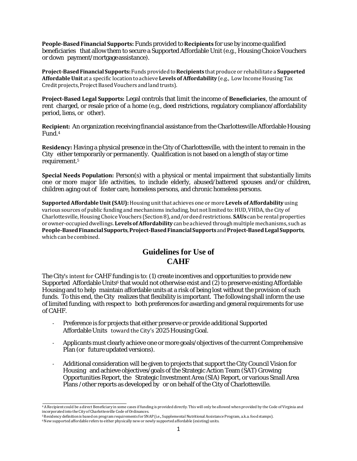**People-BasedFinancial Supports:** Funds provided to **Recipients** for use by income qualified beneficiaries that allow them to secure a Supported Affordable Unit (e.g., Housing Choice Vouchers or down payment/mortgage assistance).

**Project-BasedFinancial Supports:**Fundsprovidedto**Recipients** thatproduce or rehabilitate a **Supported Affordable Unit** at a specific location to achieve **Levels of Affordability** (e.g., Low Income Housing Tax Credit projects, Project Based Vouchers and land trusts).

**Project-Based Legal Supports:** Legal controls that limit the income of **Beneficiaries**, the amount of rent charged, or resale price of a home (e.g., deed restrictions, regulatory compliance/affordability period, liens, or other).

**Recipient:** An organization receiving financial assistance from the Charlottesville Affordable Housing Fund.4

**Residency:** Having a physical presence in the City of Charlottesville, with the intent to remain in the City either temporarily or permanently. Qualification is not based on a length of stay or time requirement.5

**Special Needs Population:** Person(s) with a physical or mental impairment that substantially limits one or more major life activities, to include elderly, abused/battered spouses and/or children, children aging out of foster care, homeless persons, and chronic homeless persons.

**SupportedAffordableUnit (SAU):**Housing unitthat achieves one or more **Levels ofAffordability** using various sources of public funding and mechanisms including, but not limited to: HUD, VHDA, the City of Charlottesville,Housing ChoiceVouchers (Section8), and/ordeed restrictions. **SAUs** can be rental properties orowner-occupied dwellings. **Levels ofAffordability** canbe achieved through multiple mechanisms, such as **People-BasedFinancialSupports**,**Project-BasedFinancialSupports**and**Project-BasedLegalSupports**, which can be combined.

### **Guidelines for Use of CAHF**

The City's intent for CAHF funding is to: (1) create incentives and opportunities to provide new Supported Affordable Units<sup>6</sup> that would not otherwise exist and (2) to preserve existing Affordable Housing and to help maintain affordable units at a risk of being lost without the provision of such funds. To this end, the City realizes that flexibility is important. The following shall inform the use of limited funding, with respect to both preferences for awarding and general requirements for use of CAHF.

- Preference is for projects that either preserve or provide additional Supported Affordable Units toward the City's 2025 Housing Goal.
- Applicants must clearly achieve one or more goals/objectives of the current Comprehensive Plan (or future updated versions).
- Additional consideration will be given to projects that support the City Council Vision for Housing and achieve objectives/goals of the Strategic Action Team (SAT) Growing Opportunities Report, the Strategic Investment Area (SIA) Report, or various Small Area Plans / other reports as developed by or on behalf of the City of Charlottesville.

<sup>4</sup>A Recipient could be a direct Beneficiary in some cases if funding is provided directly. This will only be allowedwhen provided by the Code of Virginia and incorporated into the City of Charlottesville Code of Ordinances.

<sup>5</sup>Residency definitionis based on programrequirements for SNAP (i.e., Supplemental NutritionalAssistance Program, a.k.a. foodstamps).

<sup>&</sup>lt;sup>6</sup> New supported affordable refers to either physically new or newly supported affordable (existing) units.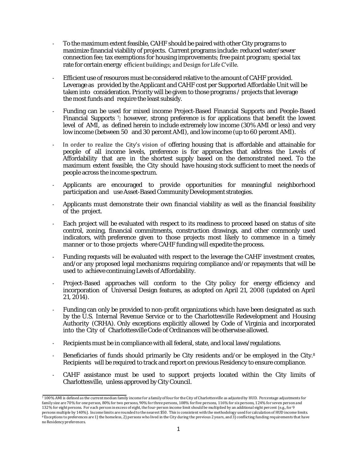- To the maximum extent feasible, CAHF should be paired with other City programs to maximize financial viability of projects. Current programs include: reduced water/sewer connection fee; tax exemptions for housing improvements; free paint program; special tax rate for certain energy efficient buildings; and Design for Life C'ville.
- Efficient use of resources must be considered relative to the amount of CAHF provided. Leverage as provided by the Applicant and CAHF cost per Supported Affordable Unit will be taken into consideration. Priority will be given to those programs / projects that leverage the most funds and require the least subsidy.
- Funding can be used for mixed income Project-Based Financial Supports and People-Based Financial Supports 7; however, strong preference is for applications that benefit the lowest level of AMI, as defined herein to include extremely low income (30% AMI or less) and very low income (between 50 and 30 percent AMI), and low income (up to 60 percent AMI).
- In order to realize the City's vision of offering housing that is affordable and attainable for people of all income levels, preference is for approaches that address the Levels of Affordability that are in the shortest supply based on the demonstrated need. To the maximum extent feasible, the City should have housing stock sufficient to meet the needs of people across the income spectrum.
- Applicants are encouraged to provide opportunities for meaningful neighborhood participation and use Asset-Based Community Development strategies.
- Applicants must demonstrate their own financial viability as well as the financial feasibility of the project.
- Each project will be evaluated with respect to its readiness to proceed based on status of site control, zoning, financial commitments, construction drawings, and other commonly used indicators, with preference given to those projects most likely to commence in a timely manner or to those projects where CAHF funding will expedite the process.
- Funding requests will be evaluated with respect to the leverage the CAHF investment creates, and/or any proposed legal mechanisms requiring compliance and/or repayments that will be used to achieve continuing Levels of Affordability.
- Project-Based approaches will conform to the City policy for energy efficiency and incorporation of Universal Design features, as adopted on April 21, 2008 (updated on April 21, 2014).
- Funding can only be provided to non-profit organizations which have been designated as such by the U.S. Internal Revenue Service or to the Charlottesville Redevelopment and Housing Authority (CRHA). Only exceptions explicitly allowed by Code of Virginia and incorporated into the City of Charlottesville Code of Ordinances will be otherwise allowed.
- Recipients must be in compliance with all federal, state, and local laws/regulations.
- Beneficiaries of funds should primarily be City residents and/or be employed in the City.<sup>8</sup> Recipients will be required to track and report on previous Residency to ensure compliance.
- CAHF assistance must be used to support projects located within the City limits of Charlottesville, unless approved by City Council.

 $\frac{7100\%}{4}$  AMI is defined as the current median family income for a family of four for the City of Charlottesville as adjusted by HUD. Percentage adjustments for family size are 70% for one person, 80% for two persons, 90% for three persons, 108% for five persons, 116% for six persons, 124% for seven person and 132% for eight persons. For each person in excess of eight, the four-person income limit should be multiplied by an additional eight percent (e.g., for 9 persons multiple by 140%). Income limits are rounded to the nearest \$50. This is consistent with the methodology used for calculation of HUD income limits.<br><sup>8</sup> Exceptions to preferences are 1) the homeless, 2) persons who noResidencypreferences.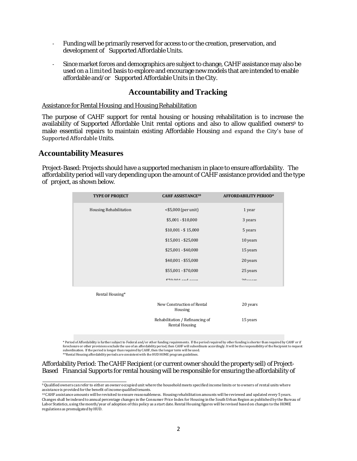- Funding will be primarily reserved for access to or the creation, preservation, and development of Supported Affordable Units.
- Since market forces and demographics are subject to change, CAHF assistance may also be used on a limited basis to explore and encourage new models that are intended to enable affordable and/or Supported Affordable Units in the City.

### **Accountability and Tracking**

Assistance for Rental Housing and Housing Rehabilitation

The purpose of CAHF support for rental housing or housing rehabilitation is to increase the availability of Supported Affordable Unit rental options and also to allow qualified owners<sup>9</sup> to make essential repairs to maintain existing Affordable Housing and expand the City's base of Supported Affordable Units.

### **AccountabilityMeasures**

Project-Based: Projects should have a supported mechanism in place to ensure affordability. The affordability period will vary depending upon the amount of CAHF assistance provided and the type of project, as shown below.

| <b>TYPE OF PROJECT</b>        | <b>CAHF ASSISTANCE<sup>10</sup></b>   | <b>AFFORDABILITY PERIOD*</b> |
|-------------------------------|---------------------------------------|------------------------------|
| <b>Housing Rehabilitation</b> | $<$ \$5,000 (per unit)                | 1 year                       |
|                               | $$5,001 - $10,000$                    | 3 years                      |
|                               | $$10,001 - $15,000$                   | 5 years                      |
|                               | $$15,001 - $25,000$                   | 10 years                     |
|                               | $$25,001 - $40,000$                   | 15 years                     |
|                               | $$40,001 - $55,000$                   | 20 years                     |
|                               | \$55,001 - \$70,000                   | 25 years                     |
|                               | $670.001 - 1 - 1$                     | $20 - 20$                    |
| Rental Housing*               |                                       |                              |
|                               | New Construction of Rental<br>Housing | 20 years                     |
|                               | Rehabilitation / Refinancing of       | 15 years                     |

Rental Housing

\* Period of Affordability is further subjectto Federal and/or other funding requirements. Ifthe period required by other funding is shorter than required by CAHF or if foreclosure or other provisions exclude the use of an affordability period, then CAHF will subordinate accordingly. It will be the responsibility of the Recipient to request<br>subordination. If the period is longer than req \*\*Rental Housing affordability periods are consistent with the HUD HOME program guidelines.

Affordability Period: The CAHF Recipient (or current owner should the property sell) of Project-Based Financial Supports for rental housing will be responsible for ensuring the affordability of

<sup>9</sup>Qualified owners can refer to either anowner occupied unit where the household meets specified income limits or to owners of rental units where assistance is provided for the benefit of income qualified tenants.

<sup>10</sup> CAHF assistance amounts will be revisited to ensure reasonableness. Housing rehabilitation amounts will be reviewed and updated every 5 years. Changes shall be indexed to annual percentage changes in the Consumer Price Index for Housing in the SouthUrban Region as published by theBureau of Labor Statistics, using the month/year of adoption of this policy as a start date. Rental Housing figures will be revised based on changes to the HOME regulations as promulgated by HUD.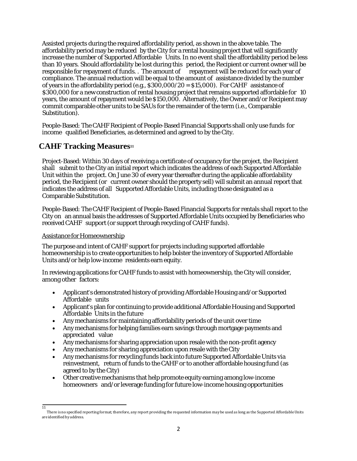Assisted projects during the required affordability period, as shown in the above table. The affordability period may be reduced by the City for a rental housing project that will significantly increase the number of Supported Affordable Units. In no event shall the affordability period be less than 10 years. Should affordability be lost during this period, the Recipient or current owner will be responsible for repayment of funds. . The amount of repayment will be reduced for each year of compliance. The annual reduction will be equal to the amount of assistance divided by the number of years in the affordability period (e.g.,  $$300,000/20 = $15,000$ ). For CAHF assistance of \$300,000 for a new construction of rental housing project that remains supported affordable for 10 years, the amount of repayment would be \$150,000. Alternatively, the Owner and/or Recipient may commit comparable other units to be SAUs for the remainder of the term (i.e., Comparable Substitution).

People-Based: The CAHF Recipient of People-Based Financial Supports shall only use funds for income qualified Beneficiaries, as determined and agreed to by the City.

### **CAHF Tracking Measures11**

Project-Based: Within 30 days of receiving a certificate of occupancy for the project, the Recipient shall submit to the City an initial report which indicates the address of each Supported Affordable Unit within the project. On June 30 of every year thereafter during the applicable affordability period, the Recipient (or current owner should the property sell) will submit an annual report that indicates the address of all Supported Affordable Units, including those designated as a Comparable Substitution.

People-Based: The CAHF Recipient of People-Based Financial Supports for rentals shall report to the City on an annual basis the addresses of Supported Affordable Units occupied by Beneficiaries who received CAHF support (or support through recycling of CAHF funds).

### Assistance for Homeownership

 $\overline{11}$ 

The purpose and intent of CAHF support for projects including supported affordable homeownership is to create opportunities to help bolster the inventory of Supported Affordable Units and/or help low-income residents earn equity.

In reviewing applications for CAHF funds to assist with homeownership, the City will consider, among other factors:

- Applicant's demonstrated history of providing Affordable Housing and/or Supported Affordable units
- Applicant's plan for continuing to provide additional Affordable Housing and Supported Affordable Units in the future
- Any mechanisms for maintaining affordability periods of the unit over time
- Any mechanisms for helping families earn savings through mortgage payments and appreciated value
- Any mechanisms for sharing appreciation upon resale with the non-profit agency
- Any mechanisms for sharing appreciation upon resale with the City
- Any mechanisms for recycling funds back into future Supported Affordable Units via reinvestment, return of funds to the CAHF or to another affordable housing fund (as agreed to by the City)
- Other creative mechanisms that help promote equity earning among low-income homeowners and/or leverage funding for future low-income housing opportunities

There is no specified reporting format; therefore, any report providing the requested information may be used as long as the Supported Affordable Units are identified by address.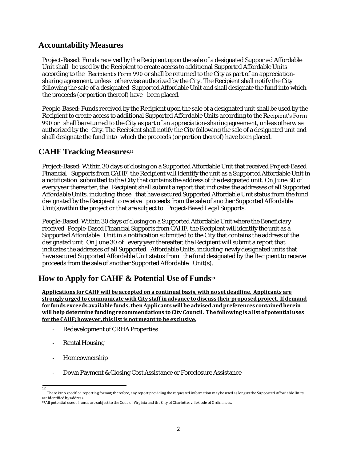### **AccountabilityMeasures**

Project-Based: Funds received by the Recipient upon the sale of a designated Supported Affordable Unit shall be used by the Recipient to create access to additional Supported Affordable Units according to the Recipient's Form 990 or shall be returned to the City as part of an appreciationsharing agreement, unless otherwise authorized by the City. The Recipient shall notify the City following the sale of a designated Supported Affordable Unit and shall designate the fund into which the proceeds (or portion thereof) have been placed.

People-Based: Funds received by the Recipient upon the sale of a designated unit shall be used by the Recipient to create access to additional Supported Affordable Units according to the Recipient's Form 990 or shall be returned to the City as part of an appreciation-sharing agreement, unless otherwise authorized by the City. The Recipient shall notify the City following the sale of a designated unit and shall designate the fund into which the proceeds (or portion thereof) have been placed.

### **CAHF Tracking Measures12**

Project-Based: Within 30 days of closing on a Supported Affordable Unit that received Project-Based Financial Supports from CAHF, the Recipient will identify the unit as a Supported Affordable Unit in a notification submitted to the City that contains the address of the designated unit. On June 30 of every year thereafter, the Recipient shall submit a report that indicates the addresses of all Supported Affordable Units, including those that have secured Supported Affordable Unit status from the fund designated by the Recipient to receive proceeds from the sale of another Supported Affordable Unit(s)within the project or that are subject to Project-Based Legal Supports.

People-Based: Within 30 days of closing on a Supported Affordable Unit where the Beneficiary received People-Based Financial Supports from CAHF, the Recipient will identify the unit as a Supported Affordable Unit in a notification submitted to the City that contains the address of the designated unit. On June 30 of every year thereafter, the Recipient will submit a report that indicates the addresses of all Supported Affordable Units, including newly designated units that have secured Supported Affordable Unit status from the fund designated by the Recipient to receive proceeds from the sale of another Supported Affordable Unit(s).

## **How to Apply for CAHF & Potential Use of Funds13**

**Applications for CAHF will be accepted on a continual basis,with no setdeadline. Applicants are stronglyurged to communicatewith City staff in advance todiscuss theirproposed project. If demand for funds exceeds availablefunds,thenApplicantswill be advised andpreferences contained herein will help determine funding recommendations toCity Council. The following is a list of potential uses for the CAHF; however,this listis not meantto be exclusive.**

- Redevelopment of CRHA Properties
- Rental Housing
- Homeownership
- Down Payment & Closing Cost Assistance or Foreclosure Assistance
- $\overline{12}$

There is no specified reporting format; therefore, any report providing the requested information may be used as long as the Supported Affordable Units are identified by address.

<sup>13</sup>All potential uses of funds are subject to the Code of Virginia and the City of Charlottesville Code of Ordinances.